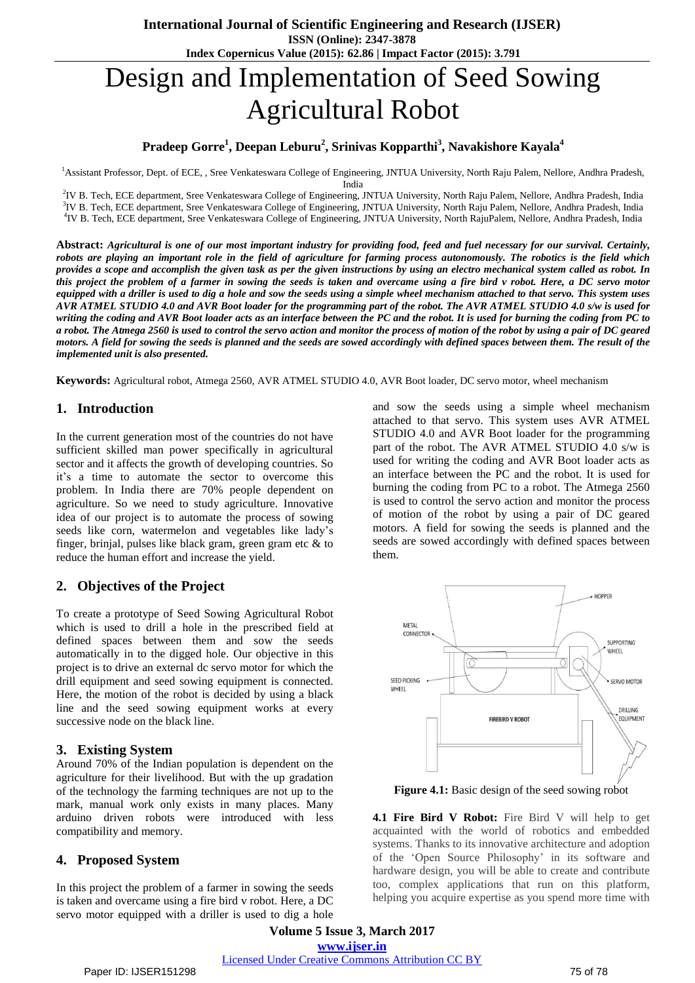# Design and Implementation of Seed Sowing Agricultural Robot

# **Pradeep Gorre<sup>1</sup> , Deepan Leburu<sup>2</sup> , Srinivas Kopparthi<sup>3</sup> , Navakishore Kayala<sup>4</sup>**

<sup>1</sup>Assistant Professor, Dept. of ECE, , Sree Venkateswara College of Engineering, JNTUA University, North Raju Palem, Nellore, Andhra Pradesh,

India

2 IV B. Tech, ECE department, Sree Venkateswara College of Engineering, JNTUA University, North Raju Palem, Nellore, Andhra Pradesh, India <sup>3</sup>IV B. Tech, ECE department, Sree Venkateswara College of Engineering, JNTUA University, North Raju Palem, Nellore, Andhra Pradesh, India 4 IV B. Tech, ECE department, Sree Venkateswara College of Engineering, JNTUA University, North RajuPalem, Nellore, Andhra Pradesh, India

Abstract: Agricultural is one of our most important industry for providing food, feed and fuel necessary for our survival. Certainly, robots are playing an important role in the field of agriculture for farming process autonomously. The robotics is the field which provides a scope and accomplish the given task as per the given instructions by using an electro mechanical system called as robot. In this project the problem of a farmer in sowing the seeds is taken and overcame using a fire bird v robot. Here, a DC servo motor equipped with a driller is used to dig a hole and sow the seeds using a simple wheel mechanism attached to that servo. This system uses AVR ATMEL STUDIO 4.0 and AVR Boot loader for the programming part of the robot. The AVR ATMEL STUDIO 4.0 s/w is used for writing the coding and AVR Boot loader acts as an interface between the PC and the robot. It is used for burning the coding from PC to a robot. The Atmega 2560 is used to control the servo action and monitor the process of motion of the robot by using a pair of DC geared motors. A field for sowing the seeds is planned and the seeds are sowed accordingly with defined spaces between them. The result of the *implemented unit is also presented.*

**Keywords:** Agricultural robot, Atmega 2560, AVR ATMEL STUDIO 4.0, AVR Boot loader, DC servo motor, wheel mechanism

# **1. Introduction**

In the current generation most of the countries do not have sufficient skilled man power specifically in agricultural sector and it affects the growth of developing countries. So it's a time to automate the sector to overcome this problem. In India there are 70% people dependent on agriculture. So we need to study agriculture. Innovative idea of our project is to automate the process of sowing seeds like corn, watermelon and vegetables like lady's finger, brinjal, pulses like black gram, green gram etc & to reduce the human effort and increase the yield.

# **2. Objectives of the Project**

To create a prototype of Seed Sowing Agricultural Robot which is used to drill a hole in the prescribed field at defined spaces between them and sow the seeds automatically in to the digged hole. Our objective in this project is to drive an external dc servo motor for which the drill equipment and seed sowing equipment is connected. Here, the motion of the robot is decided by using a black line and the seed sowing equipment works at every successive node on the black line.

## **3. Existing System**

Around 70% of the Indian population is dependent on the agriculture for their livelihood. But with the up gradation of the technology the farming techniques are not up to the mark, manual work only exists in many places. Many arduino driven robots were introduced with less compatibility and memory.

## **4. Proposed System**

In this project the problem of a farmer in sowing the seeds is taken and overcame using a fire bird v robot. Here, a DC servo motor equipped with a driller is used to dig a hole

and sow the seeds using a simple wheel mechanism attached to that servo. This system uses AVR ATMEL STUDIO 4.0 and AVR Boot loader for the programming part of the robot. The AVR ATMEL STUDIO 4.0 s/w is used for writing the coding and AVR Boot loader acts as an interface between the PC and the robot. It is used for burning the coding from PC to a robot. The Atmega 2560 is used to control the servo action and monitor the process of motion of the robot by using a pair of DC geared motors. A field for sowing the seeds is planned and the seeds are sowed accordingly with defined spaces between them.



**Figure 4.1:** Basic design of the seed sowing robot

**4.1 Fire Bird V Robot:** Fire Bird V will help to get acquainted with the world of robotics and embedded systems. Thanks to its innovative architecture and adoption of the 'Open Source Philosophy' in its software and hardware design, you will be able to create and contribute too, complex applications that run on this platform, helping you acquire expertise as you spend more time with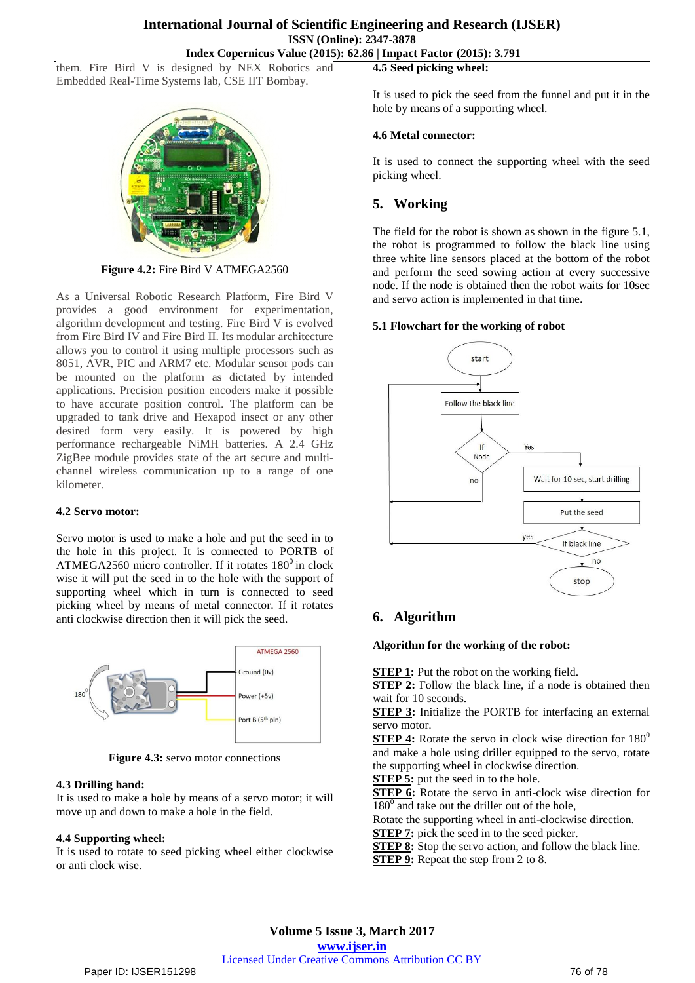## **International Journal of Scientific Engineering and Research (IJSER) ISSN (Online): 2347-3878 Index Copernicus Value (2015): 62.86 | Impact Factor (2015): 3.791**

them. Fire Bird V is designed by NEX Robotics and Embedded Real-Time Systems lab, CSE IIT Bombay.



**Figure 4.2:** Fire Bird V ATMEGA2560

As a Universal Robotic Research Platform, Fire Bird V provides a good environment for experimentation, algorithm development and testing. Fire Bird V is evolved from Fire Bird IV and Fire Bird II. Its modular architecture allows you to control it using multiple processors such as 8051, AVR, PIC and ARM7 etc. Modular sensor pods can be mounted on the platform as dictated by intended applications. Precision position encoders make it possible to have accurate position control. The platform can be upgraded to tank drive and Hexapod insect or any other desired form very easily. It is powered by high performance rechargeable NiMH batteries. A 2.4 GHz ZigBee module provides state of the art secure and multichannel wireless communication up to a range of one kilometer.

## **4.2 Servo motor:**

Servo motor is used to make a hole and put the seed in to the hole in this project. It is connected to PORTB of ATMEGA2560 micro controller. If it rotates  $180^0$  in clock wise it will put the seed in to the hole with the support of supporting wheel which in turn is connected to seed picking wheel by means of metal connector. If it rotates anti clockwise direction then it will pick the seed.



**Figure 4.3:** servo motor connections

## **4.3 Drilling hand:**

It is used to make a hole by means of a servo motor; it will move up and down to make a hole in the field.

## **4.4 Supporting wheel:**

It is used to rotate to seed picking wheel either clockwise or anti clock wise.

**4.5 Seed picking wheel:**

It is used to pick the seed from the funnel and put it in the hole by means of a supporting wheel.

## **4.6 Metal connector:**

It is used to connect the supporting wheel with the seed picking wheel.

## **5. Working**

The field for the robot is shown as shown in the figure 5.1, the robot is programmed to follow the black line using three white line sensors placed at the bottom of the robot and perform the seed sowing action at every successive node. If the node is obtained then the robot waits for 10sec and servo action is implemented in that time.

## **5.1 Flowchart for the working of robot**



## **6. Algorithm**

#### **Algorithm for the working of the robot:**

**STEP 1:** Put the robot on the working field.

**STEP 2:** Follow the black line, if a node is obtained then wait for 10 seconds.

**STEP 3:** Initialize the PORTB for interfacing an external servo motor.

**STEP 4:** Rotate the servo in clock wise direction for  $180^\circ$ and make a hole using driller equipped to the servo, rotate the supporting wheel in clockwise direction.

**STEP 5:** put the seed in to the hole.

**STEP 6:** Rotate the servo in anti-clock wise direction for  $180<sup>0</sup>$  and take out the driller out of the hole,

Rotate the supporting wheel in anti-clockwise direction. **STEP 7:** pick the seed in to the seed picker.

**STEP 8:** Stop the servo action, and follow the black line. **STEP 9:** Repeat the step from 2 to 8.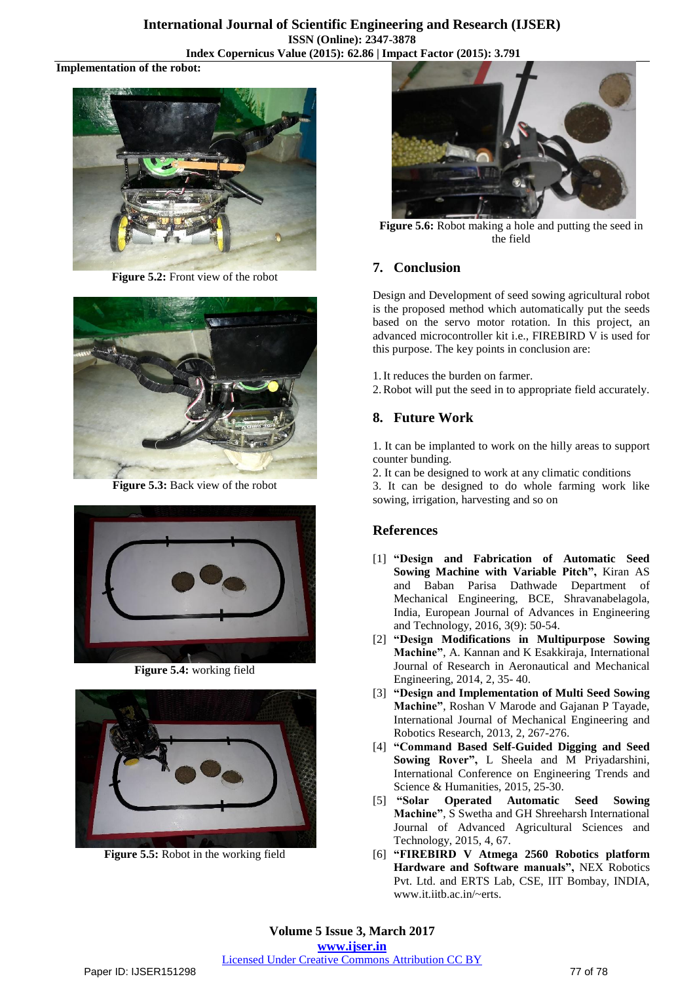## **International Journal of Scientific Engineering and Research (IJSER) ISSN (Online): 2347-3878 Index Copernicus Value (2015): 62.86 | Impact Factor (2015): 3.791**

#### **Implementation of the robot:**



**Figure 5.2:** Front view of the robot



**Figure 5.3:** Back view of the robot



**Figure 5.4:** working field



**Figure 5.5:** Robot in the working field



**Figure 5.6:** Robot making a hole and putting the seed in the field

# **7. Conclusion**

Design and Development of seed sowing agricultural robot is the proposed method which automatically put the seeds based on the servo motor rotation. In this project, an advanced microcontroller kit i.e., FIREBIRD V is used for this purpose. The key points in conclusion are:

- 1.It reduces the burden on farmer.
- 2.Robot will put the seed in to appropriate field accurately.

# **8. Future Work**

1. It can be implanted to work on the hilly areas to support counter bunding.

2. It can be designed to work at any climatic conditions

3. It can be designed to do whole farming work like sowing, irrigation, harvesting and so on

# **References**

- [1] **"Design and Fabrication of Automatic Seed Sowing Machine with Variable Pitch",** Kiran AS and Baban Parisa Dathwade Department of Mechanical Engineering, BCE, Shravanabelagola, India, European Journal of Advances in Engineering and Technology, 2016, 3(9): 50-54.
- [2] **"Design Modifications in Multipurpose Sowing Machine"**, A. Kannan and K Esakkiraja, International Journal of Research in Aeronautical and Mechanical Engineering, 2014, 2, 35- 40.
- [3] **"Design and Implementation of Multi Seed Sowing Machine"**, Roshan V Marode and Gajanan P Tayade, International Journal of Mechanical Engineering and Robotics Research, 2013, 2, 267-276.
- [4] **"Command Based Self-Guided Digging and Seed Sowing Rover",** L Sheela and M Priyadarshini, International Conference on Engineering Trends and Science & Humanities, 2015, 25-30.
- [5] **"Solar Operated Automatic Seed Sowing Machine"**, S Swetha and GH Shreeharsh International Journal of Advanced Agricultural Sciences and Technology, 2015, 4, 67.
- [6] **"FIREBIRD V Atmega 2560 Robotics platform Hardware and Software manuals",** NEX Robotics Pvt. Ltd. and ERTS Lab, CSE, IIT Bombay, INDIA, www.it.iitb.ac.in/~erts.